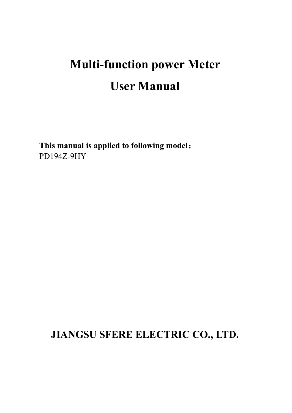# **Multi-function power Meter User Manual**

**This manual is applied tofollowing model**: PD194Z-9HY

## **JIANGSU SFERE ELECTRIC CO., LTD.**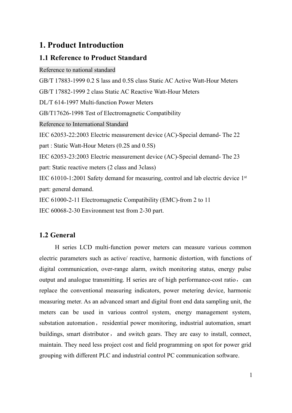### **1. Product Introduction**

#### **1.1 Reference to Product Standard**

Reference to national standard GB/T 17883-1999 0.2 S lass and 0.5S class Static AC Active Watt-Hour Meters GB/T 17882-1999 2 class Static AC Reactive Watt-Hour Meters DL/T 614-1997 Multi-function Power Meters GB/T17626-1998 Test of Electromagnetic Compatibility Reference to International Standard IEC 62053-22:2003 Electric measurement device (AC)-Special demand- The 22 part : Static Watt-Hour Meters (0.2S and 0.5S) IEC 62053-23:2003 Electric measurement device (AC)-Special demand- The 23 part: Static reactive meters (2 class and 3class) IEC 61010-1:2001 Safety demand for measuring, control and lab electric device 1 st part: general demand. IEC 61000-2-11 Electromagnetic Compatibility (EMC)-from 2 to 11 IEC 60068-2-30 Environment test from 2-30 part.

#### **1.2 General**

H series LCD multi-function power meters can measure various common electric parameters such as active/reactive, harmonic distortion, with functions of digital communication, over-range alarm, switch monitoring status, energy pulse output and analogue transmitting. H series are of high performance-cost ratio, can replace the conventional measuring indicators, power metering device, harmonic measuring meter. As an advanced smart and digital front end data sampling unit, the meters can be used in various control system, energy management system, substation automation, residential power monitoring, industrial automation, smart buildings, smart distributor, and switch gears. They are easy to install, connect, maintain. They need less project cost and field programming on spot for power grid grouping with different PLC and industrial control PC communication software.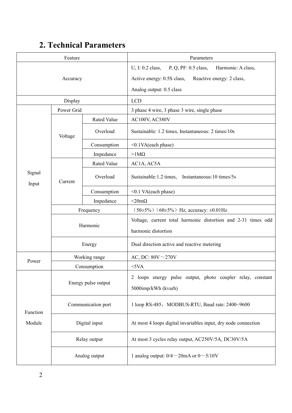## **2. Technical Parameters**

| Feature         |                                                           |                                                    | Parameters                                                                                                                                            |  |  |  |
|-----------------|-----------------------------------------------------------|----------------------------------------------------|-------------------------------------------------------------------------------------------------------------------------------------------------------|--|--|--|
|                 | Accuracy                                                  |                                                    | U, I: 0.2 class,<br>P, Q, PF: 0.5 class,<br>Harmonic: A class,<br>Active energy: 0.5S class,<br>Reactive energy: 2 class,<br>Analog output: 0.5 class |  |  |  |
| Display         |                                                           |                                                    | <b>LCD</b>                                                                                                                                            |  |  |  |
| Power Grid      |                                                           |                                                    | 3 phase 4 wire, 3 phase 3 wire, single phase                                                                                                          |  |  |  |
|                 |                                                           | <b>Rated Value</b>                                 | AC100V, AC380V                                                                                                                                        |  |  |  |
|                 | Voltage                                                   | Overload                                           | Sustainable: 1.2 times, Instantaneous: 2 times/10s                                                                                                    |  |  |  |
|                 |                                                           | Consumption                                        | <0.1VA(each phase)                                                                                                                                    |  |  |  |
|                 |                                                           | Impedance                                          | $>1$ M $\Omega$                                                                                                                                       |  |  |  |
|                 |                                                           | Rated Value                                        | AC1A, AC5A                                                                                                                                            |  |  |  |
| Signal<br>Input | Overload<br>Current<br>Consumption<br><0.1 VA(each phase) | Sustainable: 1.2 times, Instantaneous: 10 times/5s |                                                                                                                                                       |  |  |  |
|                 |                                                           |                                                    |                                                                                                                                                       |  |  |  |
|                 |                                                           | Impedance                                          | $<$ 20m $\Omega$                                                                                                                                      |  |  |  |
|                 |                                                           | Frequency                                          | $(50\pm5\%)$ $(60\pm5\%)$ Hz, accuracy: $\pm 0.01$ Hz                                                                                                 |  |  |  |
|                 |                                                           | Harmonic                                           | Voltage, current total harmonic distortion and 2-31 times odd<br>harmonic distortion                                                                  |  |  |  |
|                 |                                                           | Energy                                             | Dual direction active and reactive metering                                                                                                           |  |  |  |
|                 | Working range                                             |                                                    | AC, DC: $80V \sim 270V$                                                                                                                               |  |  |  |
| Power           | Consumption                                               |                                                    | $<$ 5VA                                                                                                                                               |  |  |  |
|                 |                                                           | Energy pulse output                                | 2 loops energy pulse output, photo coupler relay, constant<br>5000imp/kWh (kvarh)                                                                     |  |  |  |
| Function        | Communication port                                        |                                                    | 1 loop RS-485, MODBUS-RTU, Baud rate: 2400~9600                                                                                                       |  |  |  |
| Module          |                                                           | Digital input                                      | At most 4 loops digital invariables input, dry node connection                                                                                        |  |  |  |
|                 |                                                           | Relay output                                       | At most 3 cycles relay output, AC250V/5A, DC30V/5A                                                                                                    |  |  |  |
|                 | Analog output                                             |                                                    | 1 analog output: $0/4 \sim 20$ mA or $0 \sim 5/10$ V                                                                                                  |  |  |  |
|                 |                                                           |                                                    |                                                                                                                                                       |  |  |  |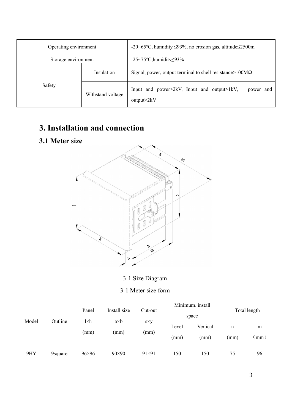| Operating environment |                   | -20~65°C, humidity $\leq$ 93%, no erosion gas, altitude $\leq$ 2500m  |  |  |  |  |  |
|-----------------------|-------------------|-----------------------------------------------------------------------|--|--|--|--|--|
| Storage environment   |                   | -25~75 $\degree$ C, humidity \times\squad{3}\$                        |  |  |  |  |  |
|                       | Insulation        | Signal, power, output terminal to shell resistance > $100M\Omega$     |  |  |  |  |  |
| Safety                | Withstand voltage | Input and power>2kV, Input and output>1kV,<br>power and<br>output>2kV |  |  |  |  |  |

## **3. Installation and connection**

## **3.1 Meter size**



3-1 Size Diagram

#### 3-1 Meter size form

| Model | Outline | Panel<br>$l \times h$<br>(mm) | Install size<br>a×b<br>(mm) | Cut-out<br>$s\times y$<br>(mm) | Minimum. install<br>Total length<br>space |                  |           |           |  |
|-------|---------|-------------------------------|-----------------------------|--------------------------------|-------------------------------------------|------------------|-----------|-----------|--|
|       |         |                               |                             |                                | Level<br>(mm)                             | Vertical<br>(mm) | n<br>(mm) | m<br>(mm) |  |
| 9HY   | 9square | 96×96                         | $90\times90$                | $91\times91$                   | 150                                       | 150              | 75        | 96        |  |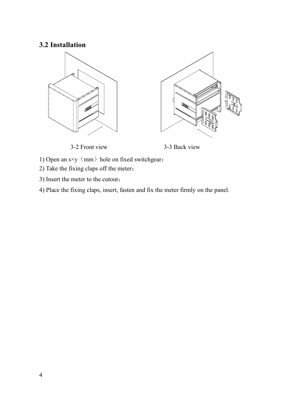#### **3.2 Installation**



3-2 Front view 3-3 Back view

- 1) Open an  $s \times y$  (mm) hole on fixed switchgear;
- 2) Take the fixing claps off the meter;
- 3) Insert the meter to the cutout;
- 4) Place the fixing claps, insert, fasten and fix the meter firmly on the panel.